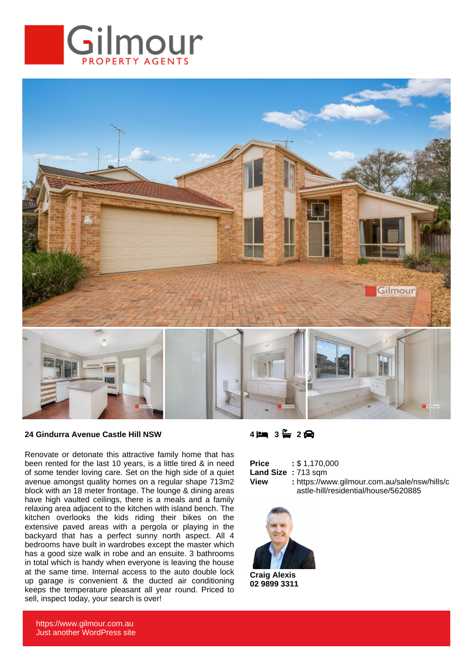



## **24 Gindurra Avenue Castle Hill NSW**

Renovate or detonate this attractive family home that has been rented for the last 10 years, is a little tired & in need of some tender loving care. Set on the high side of a quiet avenue amongst quality homes on a regular shape 713m2 block with an 18 meter frontage. The lounge & dining areas have high vaulted ceilings, there is a meals and a family relaxing area adjacent to the kitchen with island bench. The kitchen overlooks the kids riding their bikes on the extensive paved areas with a pergola or playing in the backyard that has a perfect sunny north aspect. All 4 bedrooms have built in wardrobes except the master which has a good size walk in robe and an ensuite. 3 bathrooms in total which is handy when everyone is leaving the house at the same time. Internal access to the auto double lock up garage is convenient & the ducted air conditioning keeps the temperature pleasant all year round. Priced to sell, inspect today, your search is over!

## **4 3 2**

| <b>Price</b>       | : \$1,170,000                                 |
|--------------------|-----------------------------------------------|
| Land Size: 713 sqm |                                               |
| <b>View</b>        | : https://www.gilmour.com.au/sale/nsw/hills/c |
|                    | astle-hill/residential/house/5620885          |



**Craig Alexis 02 9899 3311**

https://www.gilmour.com.au Just another WordPress site